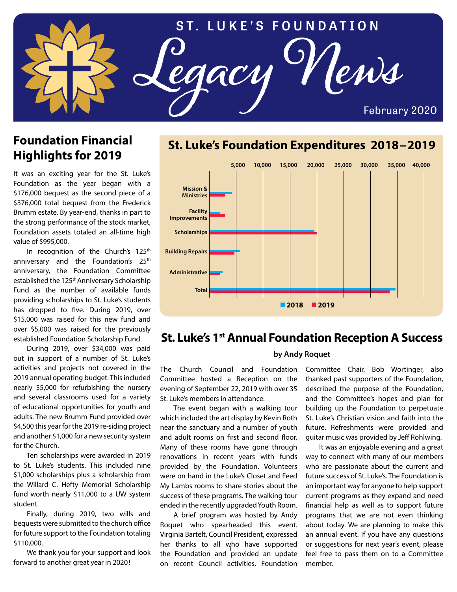

# **Foundation Financial Highlights for 2019**

It was an exciting year for the St. Luke's Foundation as the year began with a \$176,000 bequest as the second piece of a \$376,000 total bequest from the Frederick Brumm estate. By year-end, thanks in part to the strong performance of the stock market, Foundation assets totaled an all-time high value of \$995,000.

In recognition of the Church's 125<sup>th</sup> anniversary and the Foundation's 25<sup>th</sup> anniversary, the Foundation Committee established the 125<sup>th</sup> Anniversary Scholarship Fund as the number of available funds providing scholarships to St. Luke's students has dropped to five. During 2019, over \$15,000 was raised for this new fund and over \$5,000 was raised for the previously established Foundation Scholarship Fund.

During 2019, over \$34,000 was paid out in support of a number of St. Luke's activities and projects not covered in the 2019 annual operating budget. This included nearly \$5,000 for refurbishing the nursery and several classrooms used for a variety of educational opportunities for youth and adults. The new Brumm Fund provided over \$4,500 this year for the 2019 re-siding project and another \$1,000 for a new security system for the Church.

Ten scholarships were awarded in 2019 to St. Luke's students. This included nine \$1,000 scholarships plus a scholarship from the Willard C. Hefty Memorial Scholarship fund worth nearly \$11,000 to a UW system student.

Finally, during 2019, two wills and bequests were submitted to the church office for future support to the Foundation totaling \$110,000.

We thank you for your support and look forward to another great year in 2020!



## **St. Luke's Foundation Expenditures 2018–2019**

## **St. Luke's 1st Annual Foundation Reception A Success**

#### **by Andy Roquet**

The Church Council and Foundation Committee hosted a Reception on the evening of September 22, 2019 with over 35 St. Luke's members in attendance.

The event began with a walking tour which included the art display by Kevin Roth near the sanctuary and a number of youth and adult rooms on first and second floor. Many of these rooms have gone through renovations in recent years with funds provided by the Foundation. Volunteers were on hand in the Luke's Closet and Feed My Lambs rooms to share stories about the success of these programs. The walking tour ended in the recently upgraded Youth Room.

A brief program was hosted by Andy Roquet who spearheaded this event. Virginia Bartelt, Council President, expressed her thanks to all who have supported the Foundation and provided an update on recent Council activities. Foundation

Committee Chair, Bob Wortinger, also thanked past supporters of the Foundation, described the purpose of the Foundation, and the Committee's hopes and plan for building up the Foundation to perpetuate St. Luke's Christian vision and faith into the future. Refreshments were provided and guitar music was provided by Jeff Rohlwing.

It was an enjoyable evening and a great way to connect with many of our members who are passionate about the current and future success of St. Luke's. The Foundation is an important way for anyone to help support current programs as they expand and need financial help as well as to support future programs that we are not even thinking about today. We are planning to make this an annual event. If you have any questions or suggestions for next year's event, please feel free to pass them on to a Committee member.